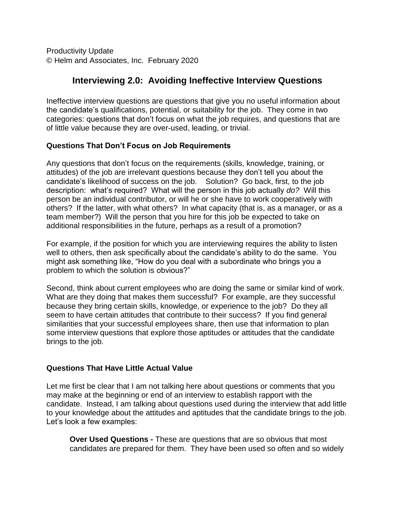Productivity Update © Helm and Associates, Inc. February 2020

# **Interviewing 2.0: Avoiding Ineffective Interview Questions**

Ineffective interview questions are questions that give you no useful information about the candidate's qualifications, potential, or suitability for the job. They come in two categories: questions that don't focus on what the job requires, and questions that are of little value because they are over-used, leading, or trivial.

## **Questions That Don't Focus on Job Requirements**

Any questions that don't focus on the requirements (skills, knowledge, training, or attitudes) of the job are irrelevant questions because they don't tell you about the candidate's likelihood of success on the job. Solution? Go back, first, to the job description: what's required? What will the person in this job actually *do?* Will this person be an individual contributor, or will he or she have to work cooperatively with others? If the latter, with what others? In what capacity (that is, as a manager, or as a team member?) Will the person that you hire for this job be expected to take on additional responsibilities in the future, perhaps as a result of a promotion?

For example, if the position for which you are interviewing requires the ability to listen well to others, then ask specifically about the candidate's ability to do the same. You might ask something like, "How do you deal with a subordinate who brings you a problem to which the solution is obvious?"

Second, think about current employees who are doing the same or similar kind of work. What are they doing that makes them successful? For example, are they successful because they bring certain skills, knowledge, or experience to the job? Do they all seem to have certain attitudes that contribute to their success? If you find general similarities that your successful employees share, then use that information to plan some interview questions that explore those aptitudes or attitudes that the candidate brings to the job.

## **Questions That Have Little Actual Value**

Let me first be clear that I am not talking here about questions or comments that you may make at the beginning or end of an interview to establish rapport with the candidate. Instead, I am talking about questions used during the interview that add little to your knowledge about the attitudes and aptitudes that the candidate brings to the job. Let's look a few examples:

**Over Used Questions -** These are questions that are so obvious that most candidates are prepared for them. They have been used so often and so widely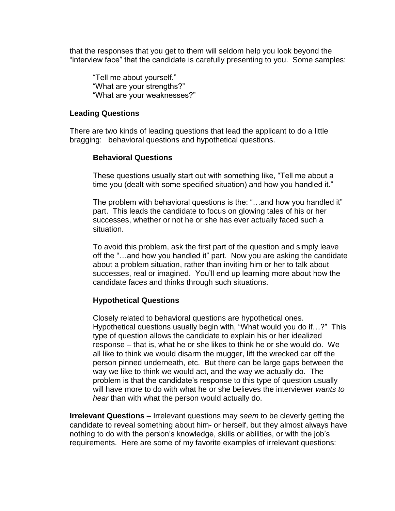that the responses that you get to them will seldom help you look beyond the "interview face" that the candidate is carefully presenting to you. Some samples:

"Tell me about yourself." "What are your strengths?" "What are your weaknesses?"

#### **Leading Questions**

There are two kinds of leading questions that lead the applicant to do a little bragging: behavioral questions and hypothetical questions.

## **Behavioral Questions**

These questions usually start out with something like, "Tell me about a time you (dealt with some specified situation) and how you handled it."

The problem with behavioral questions is the: "…and how you handled it" part. This leads the candidate to focus on glowing tales of his or her successes, whether or not he or she has ever actually faced such a situation.

To avoid this problem, ask the first part of the question and simply leave off the "…and how you handled it" part. Now you are asking the candidate about a problem situation, rather than inviting him or her to talk about successes, real or imagined. You'll end up learning more about how the candidate faces and thinks through such situations.

## **Hypothetical Questions**

Closely related to behavioral questions are hypothetical ones. Hypothetical questions usually begin with, "What would you do if…?" This type of question allows the candidate to explain his or her idealized response – that is, what he or she likes to think he or she would do. We all like to think we would disarm the mugger, lift the wrecked car off the person pinned underneath, etc. But there can be large gaps between the way we like to think we would act, and the way we actually do. The problem is that the candidate's response to this type of question usually will have more to do with what he or she believes the interviewer *wants to hear* than with what the person would actually do.

**Irrelevant Questions –** Irrelevant questions may *seem* to be cleverly getting the candidate to reveal something about him- or herself, but they almost always have nothing to do with the person's knowledge, skills or abilities, or with the job's requirements. Here are some of my favorite examples of irrelevant questions: